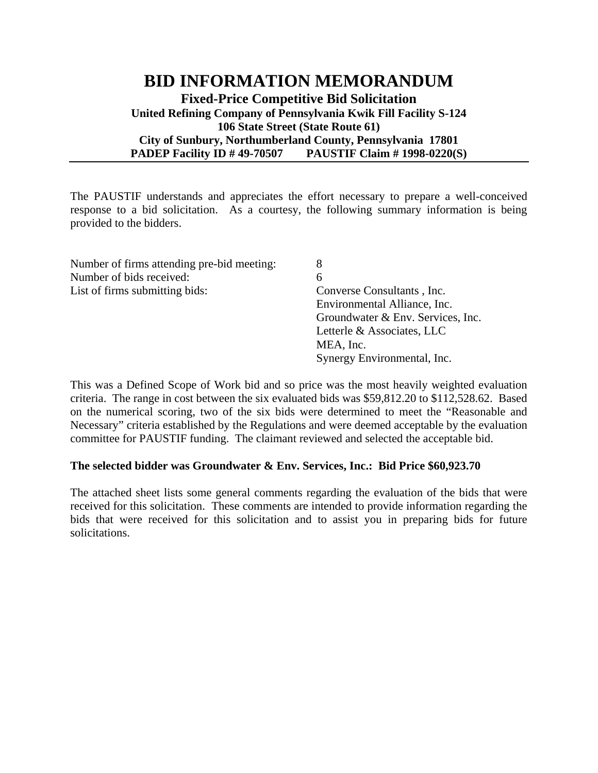## **BID INFORMATION MEMORANDUM Fixed-Price Competitive Bid Solicitation United Refining Company of Pennsylvania Kwik Fill Facility S-124 106 State Street (State Route 61) City of Sunbury, Northumberland County, Pennsylvania 17801 PADEP Facility ID # 49-70507 PAUSTIF Claim # 1998-0220(S)**

The PAUSTIF understands and appreciates the effort necessary to prepare a well-conceived response to a bid solicitation. As a courtesy, the following summary information is being provided to the bidders.

| Number of firms attending pre-bid meeting: | 8                                 |
|--------------------------------------------|-----------------------------------|
| Number of bids received:                   | 6                                 |
| List of firms submitting bids:             | Converse Consultants, Inc.        |
|                                            | Environmental Alliance, Inc.      |
|                                            | Groundwater & Env. Services, Inc. |
|                                            | Letterle & Associates, LLC        |
|                                            | MEA, Inc.                         |
|                                            | Synergy Environmental, Inc.       |

This was a Defined Scope of Work bid and so price was the most heavily weighted evaluation criteria. The range in cost between the six evaluated bids was \$59,812.20 to \$112,528.62. Based on the numerical scoring, two of the six bids were determined to meet the "Reasonable and Necessary" criteria established by the Regulations and were deemed acceptable by the evaluation committee for PAUSTIF funding. The claimant reviewed and selected the acceptable bid.

## **The selected bidder was Groundwater & Env. Services, Inc.: Bid Price \$60,923.70**

The attached sheet lists some general comments regarding the evaluation of the bids that were received for this solicitation. These comments are intended to provide information regarding the bids that were received for this solicitation and to assist you in preparing bids for future solicitations.